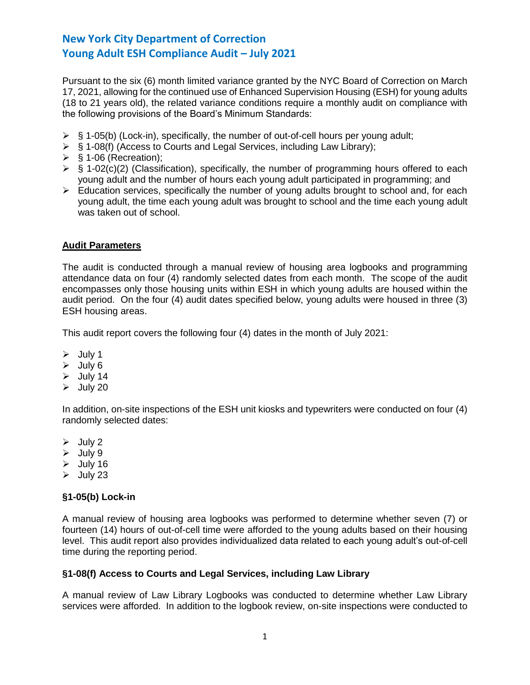Pursuant to the six (6) month limited variance granted by the NYC Board of Correction on March 17, 2021, allowing for the continued use of Enhanced Supervision Housing (ESH) for young adults (18 to 21 years old), the related variance conditions require a monthly audit on compliance with the following provisions of the Board's Minimum Standards:

- $\triangleright$  § 1-05(b) (Lock-in), specifically, the number of out-of-cell hours per young adult;
- ➢ § 1-08(f) (Access to Courts and Legal Services, including Law Library);
- $\triangleright$  § 1-06 (Recreation);
- $\triangleright$  § 1-02(c)(2) (Classification), specifically, the number of programming hours offered to each young adult and the number of hours each young adult participated in programming; and
- ➢ Education services, specifically the number of young adults brought to school and, for each young adult, the time each young adult was brought to school and the time each young adult was taken out of school.

## **Audit Parameters**

The audit is conducted through a manual review of housing area logbooks and programming attendance data on four (4) randomly selected dates from each month. The scope of the audit encompasses only those housing units within ESH in which young adults are housed within the audit period. On the four (4) audit dates specified below, young adults were housed in three (3) ESH housing areas.

This audit report covers the following four (4) dates in the month of July 2021:

- ➢ July 1
- ➢ July 6
- $\geq$  July 14
- $\geq$  July 20

In addition, on-site inspections of the ESH unit kiosks and typewriters were conducted on four (4) randomly selected dates:

- $\triangleright$  July 2
- ➢ July 9
- $\triangleright$  July 16
- $\triangleright$  July 23

# **§1-05(b) Lock-in**

A manual review of housing area logbooks was performed to determine whether seven (7) or fourteen (14) hours of out-of-cell time were afforded to the young adults based on their housing level. This audit report also provides individualized data related to each young adult's out-of-cell time during the reporting period.

### **§1-08(f) Access to Courts and Legal Services, including Law Library**

A manual review of Law Library Logbooks was conducted to determine whether Law Library services were afforded. In addition to the logbook review, on-site inspections were conducted to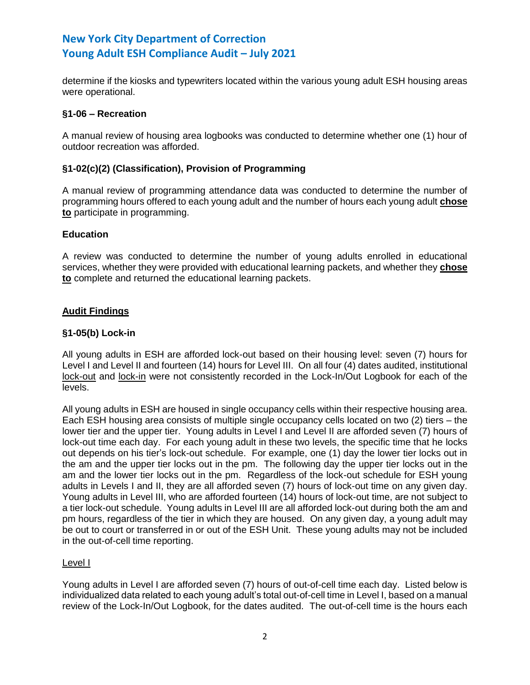determine if the kiosks and typewriters located within the various young adult ESH housing areas were operational.

## **§1-06 – Recreation**

A manual review of housing area logbooks was conducted to determine whether one (1) hour of outdoor recreation was afforded.

## **§1-02(c)(2) (Classification), Provision of Programming**

A manual review of programming attendance data was conducted to determine the number of programming hours offered to each young adult and the number of hours each young adult **chose to** participate in programming.

## **Education**

A review was conducted to determine the number of young adults enrolled in educational services, whether they were provided with educational learning packets, and whether they **chose to** complete and returned the educational learning packets.

# **Audit Findings**

## **§1-05(b) Lock-in**

All young adults in ESH are afforded lock-out based on their housing level: seven (7) hours for Level I and Level II and fourteen (14) hours for Level III. On all four (4) dates audited, institutional lock-out and lock-in were not consistently recorded in the Lock-In/Out Logbook for each of the levels.

All young adults in ESH are housed in single occupancy cells within their respective housing area. Each ESH housing area consists of multiple single occupancy cells located on two (2) tiers – the lower tier and the upper tier. Young adults in Level I and Level II are afforded seven (7) hours of lock-out time each day. For each young adult in these two levels, the specific time that he locks out depends on his tier's lock-out schedule. For example, one (1) day the lower tier locks out in the am and the upper tier locks out in the pm. The following day the upper tier locks out in the am and the lower tier locks out in the pm. Regardless of the lock-out schedule for ESH young adults in Levels I and II, they are all afforded seven (7) hours of lock-out time on any given day. Young adults in Level III, who are afforded fourteen (14) hours of lock-out time, are not subject to a tier lock-out schedule. Young adults in Level III are all afforded lock-out during both the am and pm hours, regardless of the tier in which they are housed. On any given day, a young adult may be out to court or transferred in or out of the ESH Unit. These young adults may not be included in the out-of-cell time reporting.

### Level I

Young adults in Level I are afforded seven (7) hours of out-of-cell time each day. Listed below is individualized data related to each young adult's total out-of-cell time in Level I, based on a manual review of the Lock-In/Out Logbook, for the dates audited. The out-of-cell time is the hours each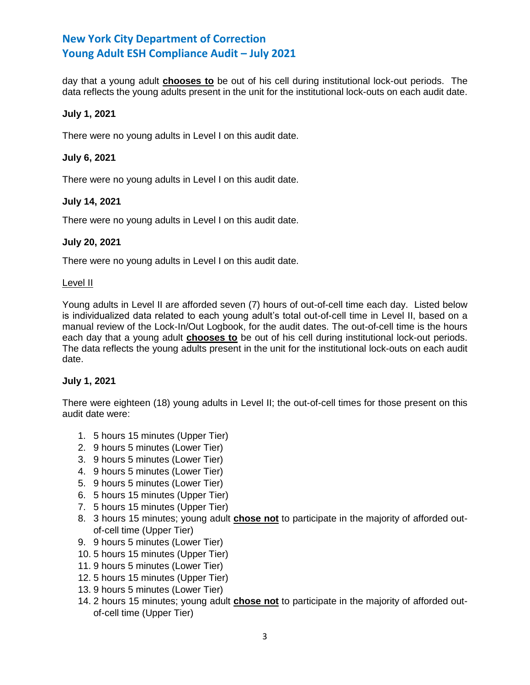day that a young adult **chooses to** be out of his cell during institutional lock-out periods. The data reflects the young adults present in the unit for the institutional lock-outs on each audit date.

## **July 1, 2021**

There were no young adults in Level I on this audit date.

## **July 6, 2021**

There were no young adults in Level I on this audit date.

# **July 14, 2021**

There were no young adults in Level I on this audit date.

## **July 20, 2021**

There were no young adults in Level I on this audit date.

### Level II

Young adults in Level II are afforded seven (7) hours of out-of-cell time each day. Listed below is individualized data related to each young adult's total out-of-cell time in Level II, based on a manual review of the Lock-In/Out Logbook, for the audit dates. The out-of-cell time is the hours each day that a young adult **chooses to** be out of his cell during institutional lock-out periods. The data reflects the young adults present in the unit for the institutional lock-outs on each audit date.

# **July 1, 2021**

There were eighteen (18) young adults in Level II; the out-of-cell times for those present on this audit date were:

- 1. 5 hours 15 minutes (Upper Tier)
- 2. 9 hours 5 minutes (Lower Tier)
- 3. 9 hours 5 minutes (Lower Tier)
- 4. 9 hours 5 minutes (Lower Tier)
- 5. 9 hours 5 minutes (Lower Tier)
- 6. 5 hours 15 minutes (Upper Tier)
- 7. 5 hours 15 minutes (Upper Tier)
- 8. 3 hours 15 minutes; young adult **chose not** to participate in the majority of afforded outof-cell time (Upper Tier)
- 9. 9 hours 5 minutes (Lower Tier)
- 10. 5 hours 15 minutes (Upper Tier)
- 11. 9 hours 5 minutes (Lower Tier)
- 12. 5 hours 15 minutes (Upper Tier)
- 13. 9 hours 5 minutes (Lower Tier)
- 14. 2 hours 15 minutes; young adult **chose not** to participate in the majority of afforded outof-cell time (Upper Tier)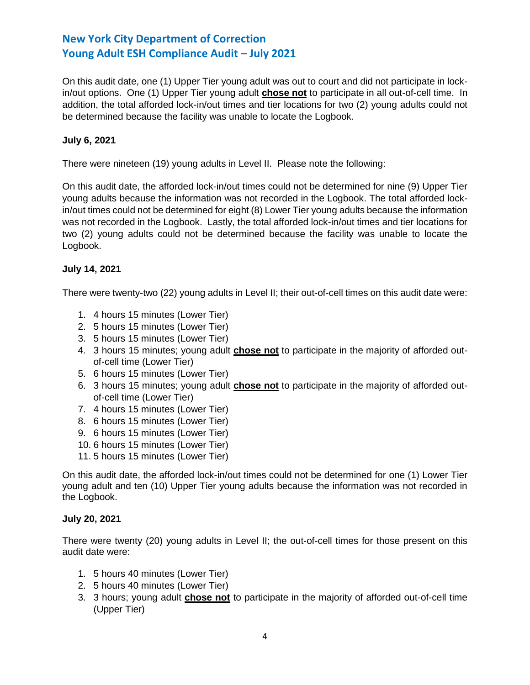On this audit date, one (1) Upper Tier young adult was out to court and did not participate in lockin/out options. One (1) Upper Tier young adult **chose not** to participate in all out-of-cell time. In addition, the total afforded lock-in/out times and tier locations for two (2) young adults could not be determined because the facility was unable to locate the Logbook.

# **July 6, 2021**

There were nineteen (19) young adults in Level II. Please note the following:

On this audit date, the afforded lock-in/out times could not be determined for nine (9) Upper Tier young adults because the information was not recorded in the Logbook. The total afforded lockin/out times could not be determined for eight (8) Lower Tier young adults because the information was not recorded in the Logbook. Lastly, the total afforded lock-in/out times and tier locations for two (2) young adults could not be determined because the facility was unable to locate the Logbook.

# **July 14, 2021**

There were twenty-two (22) young adults in Level II; their out-of-cell times on this audit date were:

- 1. 4 hours 15 minutes (Lower Tier)
- 2. 5 hours 15 minutes (Lower Tier)
- 3. 5 hours 15 minutes (Lower Tier)
- 4. 3 hours 15 minutes; young adult **chose not** to participate in the majority of afforded outof-cell time (Lower Tier)
- 5. 6 hours 15 minutes (Lower Tier)
- 6. 3 hours 15 minutes; young adult **chose not** to participate in the majority of afforded outof-cell time (Lower Tier)
- 7. 4 hours 15 minutes (Lower Tier)
- 8. 6 hours 15 minutes (Lower Tier)
- 9. 6 hours 15 minutes (Lower Tier)
- 10. 6 hours 15 minutes (Lower Tier)
- 11. 5 hours 15 minutes (Lower Tier)

On this audit date, the afforded lock-in/out times could not be determined for one (1) Lower Tier young adult and ten (10) Upper Tier young adults because the information was not recorded in the Logbook.

# **July 20, 2021**

There were twenty (20) young adults in Level II; the out-of-cell times for those present on this audit date were:

- 1. 5 hours 40 minutes (Lower Tier)
- 2. 5 hours 40 minutes (Lower Tier)
- 3. 3 hours; young adult **chose not** to participate in the majority of afforded out-of-cell time (Upper Tier)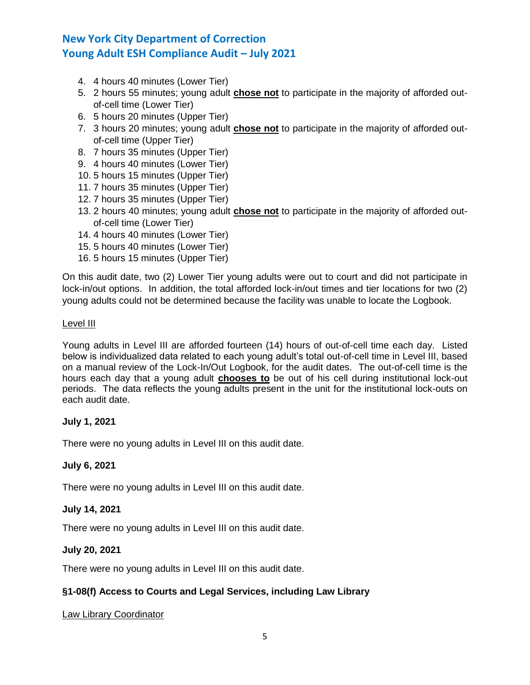- 4. 4 hours 40 minutes (Lower Tier)
- 5. 2 hours 55 minutes; young adult **chose not** to participate in the majority of afforded outof-cell time (Lower Tier)
- 6. 5 hours 20 minutes (Upper Tier)
- 7. 3 hours 20 minutes; young adult **chose not** to participate in the majority of afforded outof-cell time (Upper Tier)
- 8. 7 hours 35 minutes (Upper Tier)
- 9. 4 hours 40 minutes (Lower Tier)
- 10. 5 hours 15 minutes (Upper Tier)
- 11. 7 hours 35 minutes (Upper Tier)
- 12. 7 hours 35 minutes (Upper Tier)
- 13. 2 hours 40 minutes; young adult **chose not** to participate in the majority of afforded outof-cell time (Lower Tier)
- 14. 4 hours 40 minutes (Lower Tier)
- 15. 5 hours 40 minutes (Lower Tier)
- 16. 5 hours 15 minutes (Upper Tier)

On this audit date, two (2) Lower Tier young adults were out to court and did not participate in lock-in/out options. In addition, the total afforded lock-in/out times and tier locations for two (2) young adults could not be determined because the facility was unable to locate the Logbook.

### Level III

Young adults in Level III are afforded fourteen (14) hours of out-of-cell time each day. Listed below is individualized data related to each young adult's total out-of-cell time in Level III, based on a manual review of the Lock-In/Out Logbook, for the audit dates. The out-of-cell time is the hours each day that a young adult **chooses to** be out of his cell during institutional lock-out periods. The data reflects the young adults present in the unit for the institutional lock-outs on each audit date.

### **July 1, 2021**

There were no young adults in Level III on this audit date.

# **July 6, 2021**

There were no young adults in Level III on this audit date.

# **July 14, 2021**

There were no young adults in Level III on this audit date.

# **July 20, 2021**

There were no young adults in Level III on this audit date.

# **§1-08(f) Access to Courts and Legal Services, including Law Library**

### Law Library Coordinator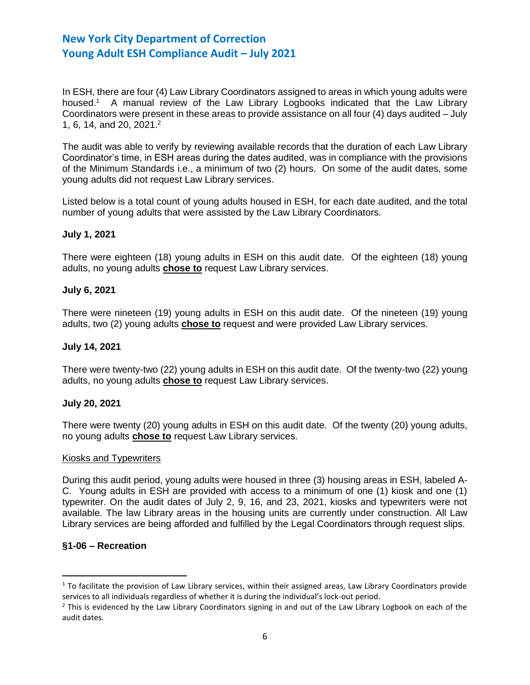In ESH, there are four (4) Law Library Coordinators assigned to areas in which young adults were housed.<sup>1</sup> A manual review of the Law Library Logbooks indicated that the Law Library Coordinators were present in these areas to provide assistance on all four (4) days audited – July 1, 6, 14, and 20, 2021. 2

The audit was able to verify by reviewing available records that the duration of each Law Library Coordinator's time, in ESH areas during the dates audited, was in compliance with the provisions of the Minimum Standards i.e., a minimum of two (2) hours. On some of the audit dates, some young adults did not request Law Library services.

Listed below is a total count of young adults housed in ESH, for each date audited, and the total number of young adults that were assisted by the Law Library Coordinators.

## **July 1, 2021**

There were eighteen (18) young adults in ESH on this audit date. Of the eighteen (18) young adults, no young adults **chose to** request Law Library services.

### **July 6, 2021**

There were nineteen (19) young adults in ESH on this audit date. Of the nineteen (19) young adults, two (2) young adults **chose to** request and were provided Law Library services.

### **July 14, 2021**

There were twenty-two (22) young adults in ESH on this audit date. Of the twenty-two (22) young adults, no young adults **chose to** request Law Library services.

### **July 20, 2021**

There were twenty (20) young adults in ESH on this audit date. Of the twenty (20) young adults, no young adults **chose to** request Law Library services.

### Kiosks and Typewriters

During this audit period, young adults were housed in three (3) housing areas in ESH, labeled A-C. Young adults in ESH are provided with access to a minimum of one (1) kiosk and one (1) typewriter. On the audit dates of July 2, 9, 16, and 23, 2021, kiosks and typewriters were not available. The law Library areas in the housing units are currently under construction. All Law Library services are being afforded and fulfilled by the Legal Coordinators through request slips.

### **§1-06 – Recreation**

l

 $1$  To facilitate the provision of Law Library services, within their assigned areas, Law Library Coordinators provide services to all individuals regardless of whether it is during the individual's lock-out period.

 $<sup>2</sup>$  This is evidenced by the Law Library Coordinators signing in and out of the Law Library Logbook on each of the</sup> audit dates.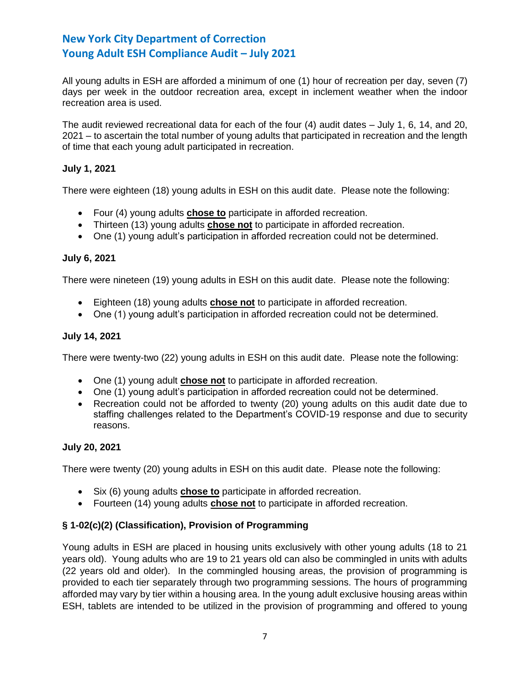All young adults in ESH are afforded a minimum of one (1) hour of recreation per day, seven (7) days per week in the outdoor recreation area, except in inclement weather when the indoor recreation area is used.

The audit reviewed recreational data for each of the four (4) audit dates – July 1, 6, 14, and 20, 2021 – to ascertain the total number of young adults that participated in recreation and the length of time that each young adult participated in recreation.

# **July 1, 2021**

There were eighteen (18) young adults in ESH on this audit date. Please note the following:

- Four (4) young adults **chose to** participate in afforded recreation.
- Thirteen (13) young adults **chose not** to participate in afforded recreation.
- One (1) young adult's participation in afforded recreation could not be determined.

# **July 6, 2021**

There were nineteen (19) young adults in ESH on this audit date. Please note the following:

- Eighteen (18) young adults **chose not** to participate in afforded recreation.
- One (1) young adult's participation in afforded recreation could not be determined.

# **July 14, 2021**

There were twenty-two (22) young adults in ESH on this audit date. Please note the following:

- One (1) young adult **chose not** to participate in afforded recreation.
- One (1) young adult's participation in afforded recreation could not be determined.
- Recreation could not be afforded to twenty (20) young adults on this audit date due to staffing challenges related to the Department's COVID-19 response and due to security reasons.

# **July 20, 2021**

There were twenty (20) young adults in ESH on this audit date. Please note the following:

- Six (6) young adults **chose to** participate in afforded recreation.
- Fourteen (14) young adults **chose not** to participate in afforded recreation.

# **§ 1-02(c)(2) (Classification), Provision of Programming**

Young adults in ESH are placed in housing units exclusively with other young adults (18 to 21 years old). Young adults who are 19 to 21 years old can also be commingled in units with adults (22 years old and older). In the commingled housing areas, the provision of programming is provided to each tier separately through two programming sessions. The hours of programming afforded may vary by tier within a housing area. In the young adult exclusive housing areas within ESH, tablets are intended to be utilized in the provision of programming and offered to young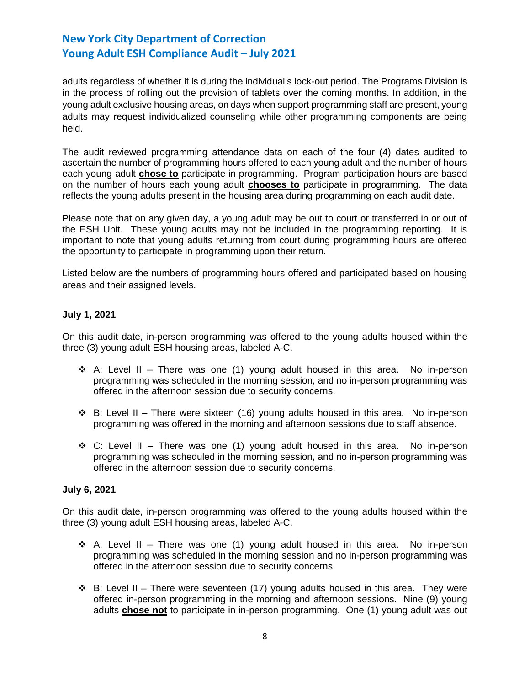adults regardless of whether it is during the individual's lock-out period. The Programs Division is in the process of rolling out the provision of tablets over the coming months. In addition, in the young adult exclusive housing areas, on days when support programming staff are present, young adults may request individualized counseling while other programming components are being held.

The audit reviewed programming attendance data on each of the four (4) dates audited to ascertain the number of programming hours offered to each young adult and the number of hours each young adult **chose to** participate in programming. Program participation hours are based on the number of hours each young adult **chooses to** participate in programming. The data reflects the young adults present in the housing area during programming on each audit date.

Please note that on any given day, a young adult may be out to court or transferred in or out of the ESH Unit. These young adults may not be included in the programming reporting. It is important to note that young adults returning from court during programming hours are offered the opportunity to participate in programming upon their return.

Listed below are the numbers of programming hours offered and participated based on housing areas and their assigned levels.

# **July 1, 2021**

On this audit date, in-person programming was offered to the young adults housed within the three (3) young adult ESH housing areas, labeled A-C.

- ◆ A: Level II There was one (1) young adult housed in this area. No in-person programming was scheduled in the morning session, and no in-person programming was offered in the afternoon session due to security concerns.
- $\div$  B: Level II There were sixteen (16) young adults housed in this area. No in-person programming was offered in the morning and afternoon sessions due to staff absence.
- $\dots$  C: Level II There was one (1) young adult housed in this area. No in-person programming was scheduled in the morning session, and no in-person programming was offered in the afternoon session due to security concerns.

# **July 6, 2021**

On this audit date, in-person programming was offered to the young adults housed within the three (3) young adult ESH housing areas, labeled A-C.

- ◆ A: Level II There was one (1) young adult housed in this area. No in-person programming was scheduled in the morning session and no in-person programming was offered in the afternoon session due to security concerns.
- ► B: Level II There were seventeen (17) young adults housed in this area. They were offered in-person programming in the morning and afternoon sessions. Nine (9) young adults **chose not** to participate in in-person programming. One (1) young adult was out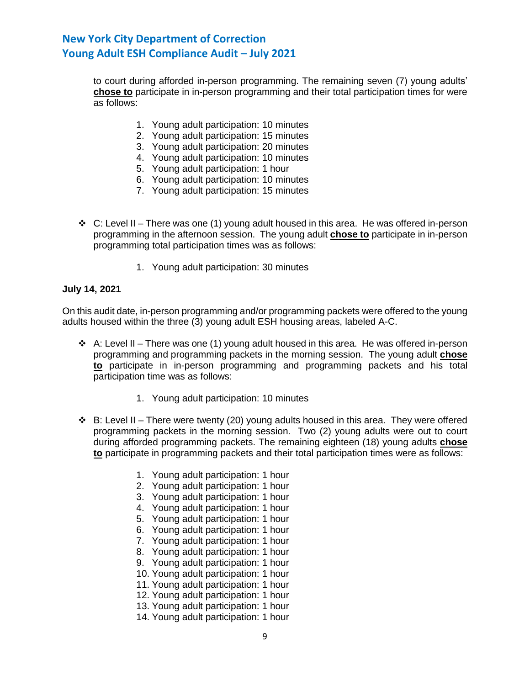to court during afforded in-person programming. The remaining seven (7) young adults' **chose to** participate in in-person programming and their total participation times for were as follows:

- 1. Young adult participation: 10 minutes
- 2. Young adult participation: 15 minutes
- 3. Young adult participation: 20 minutes
- 4. Young adult participation: 10 minutes
- 5. Young adult participation: 1 hour
- 6. Young adult participation: 10 minutes
- 7. Young adult participation: 15 minutes
- ❖ C: Level II There was one (1) young adult housed in this area. He was offered in-person programming in the afternoon session. The young adult **chose to** participate in in-person programming total participation times was as follows:
	- 1. Young adult participation: 30 minutes

## **July 14, 2021**

On this audit date, in-person programming and/or programming packets were offered to the young adults housed within the three (3) young adult ESH housing areas, labeled A-C.

- $\div$  A: Level II There was one (1) young adult housed in this area. He was offered in-person programming and programming packets in the morning session. The young adult **chose to** participate in in-person programming and programming packets and his total participation time was as follows:
	- 1. Young adult participation: 10 minutes
- $\div$  B: Level II There were twenty (20) young adults housed in this area. They were offered programming packets in the morning session. Two (2) young adults were out to court during afforded programming packets. The remaining eighteen (18) young adults **chose to** participate in programming packets and their total participation times were as follows:
	- 1. Young adult participation: 1 hour
	- 2. Young adult participation: 1 hour
	- 3. Young adult participation: 1 hour
	- 4. Young adult participation: 1 hour
	- 5. Young adult participation: 1 hour
	- 6. Young adult participation: 1 hour
	- 7. Young adult participation: 1 hour
	- 8. Young adult participation: 1 hour
	- 9. Young adult participation: 1 hour
	- 10. Young adult participation: 1 hour
	- 11. Young adult participation: 1 hour
	- 12. Young adult participation: 1 hour
	- 13. Young adult participation: 1 hour
	- 14. Young adult participation: 1 hour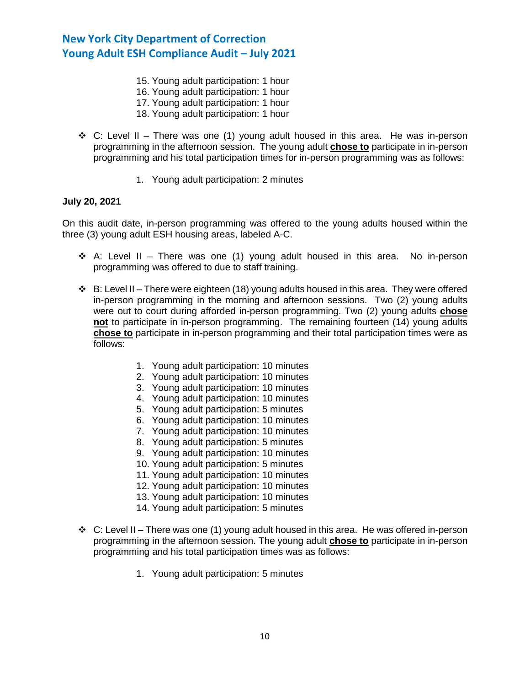- 15. Young adult participation: 1 hour
- 16. Young adult participation: 1 hour
- 17. Young adult participation: 1 hour
- 18. Young adult participation: 1 hour
- ❖ C: Level II There was one (1) young adult housed in this area. He was in-person programming in the afternoon session. The young adult **chose to** participate in in-person programming and his total participation times for in-person programming was as follows:
	- 1. Young adult participation: 2 minutes

### **July 20, 2021**

On this audit date, in-person programming was offered to the young adults housed within the three (3) young adult ESH housing areas, labeled A-C.

- ❖ A: Level II There was one (1) young adult housed in this area. No in-person programming was offered to due to staff training.
- $\div$  B: Level II There were eighteen (18) young adults housed in this area. They were offered in-person programming in the morning and afternoon sessions. Two (2) young adults were out to court during afforded in-person programming. Two (2) young adults **chose not** to participate in in-person programming. The remaining fourteen (14) young adults **chose to** participate in in-person programming and their total participation times were as follows:
	- 1. Young adult participation: 10 minutes
	- 2. Young adult participation: 10 minutes
	- 3. Young adult participation: 10 minutes
	- 4. Young adult participation: 10 minutes
	- 5. Young adult participation: 5 minutes
	- 6. Young adult participation: 10 minutes
	- 7. Young adult participation: 10 minutes
	- 8. Young adult participation: 5 minutes
	- 9. Young adult participation: 10 minutes
	- 10. Young adult participation: 5 minutes
	- 11. Young adult participation: 10 minutes
	- 12. Young adult participation: 10 minutes
	- 13. Young adult participation: 10 minutes
	- 14. Young adult participation: 5 minutes
- $\div$  C: Level II There was one (1) young adult housed in this area. He was offered in-person programming in the afternoon session. The young adult **chose to** participate in in-person programming and his total participation times was as follows:
	- 1. Young adult participation: 5 minutes